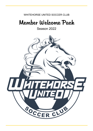### WHITEHORSE UNITED SOCCER CLUB

# Member Welcome Pack

Season 2022

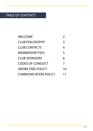### TABLE OF CONTENTS

| WELCOME                     | 2  |
|-----------------------------|----|
| <b>CLUB PHILOSOPHY</b>      | 3  |
| <b>CLUB CONTACTS</b>        | 4  |
| <b>MEMBERSHIP FEES</b>      | 5  |
| <b>CLUB SPONSORS</b>        | 6  |
| <b>CODES OF CONDUCT</b>     | 7  |
| <b>SMOKE FREE POLICY</b>    | 10 |
| <b>COMMUNICATION POLICY</b> | 11 |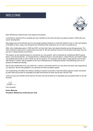## WELCOME



Dear Whitehorse United Soccer Club players and parents,

I would like to welcome all our existing and new members to the Club and wish you great success in 2022 with your soccer development.

New players are most welcome and we encourage existing members to invite their friends to join us. We want players of all ability to learn, enjoy, love the game and remember their experience at our Club as a positive one.

After a few challenging years in 2020 and 2021 we have had many new player enquiries across all age groups. The Club continues to grow and is a great Club to be part of. We will continue to strive to be the best Community Club we can be in a family friendly environment.

This season we are looking forward to moving into our new pavilion, with a functional air-conditioned Multi-Purpose Room, Commercial Kitchen, 12 Change Rooms, 4 Referee Rooms, First Aid Room, 5 Store Rooms and Public Toilets. The building will provide us with a home we can be proud of. Our members will be able to enjoy games and connect with friends in comfort. We are grateful to the City of Whitehorse for funding the pavilion and delivering such an impressive Architectural building.

We are also excited about our new 2022 kits. It will be a new fresh look for our club which has been well supported by our sponsors. We are also grateful to our sponsors for their incredible support.

Our hardworking committee will continue working to improve to provide a Club that allows players to learn and develop their skills and provide an enjoyable and safe environment for them and all who visit the Club.

I wish you and your families all the best for the year and look forward to an enjoyable and successful 2020 on and off the pitch.

Your sincerely,

**Enrico Marrone President, Whitehorse United Soccer Club**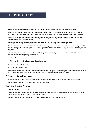### CLUB PHILOSOPHY

Individual technique and a technical approach to playing games takes precedent over everything else

- There is an underlying belief that the game, when played at the highest levels, is ultimately a decision making exercise under pressure so we need to help players become excellent decision makers when under pressure
- Excellent technique and a clear understanding of how the game fits together is required before a player can become an excellent decision maker.
- The program is a long term program and is not interested in achieving quick fixes to get results
- There is an underlying belief that game is not about winning or losing. It is a game where players who give 100% and can manipulate time and space the best in a game functional and effective way, will be the better players in the long run
- No one (players, coaches, parents, club members) prioritises winning over and above developing technically minded players, whose priority is be able to;
	- » Play in tight spaces
	- » Play in a clearly defined possession based structure
	- » Keep effective possession
	- » Score well crafted goals
- The defensive side of the game is discussed and developed, players are encouraged to win the ball back as soon as possible when lost, but only so they can then refocus on keeping effective possession.

#### **A Technical Game Plan Needs**

- Technical and intelligent players (without which a team cannot play a technical possession based game)
- A possession based structure (4-3-3 or one of its derivatives)

#### **Technical Training Program**

- Players play the way they train
- From the very start players should be trained in an environment that promotes individual technique and a technical possession based mindset towards playing the game
- A style of play which puts the players long term development and understanding first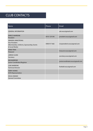### CLUB CONTACTS

| Name                                                                                                               | Phone        | Email                            |
|--------------------------------------------------------------------------------------------------------------------|--------------|----------------------------------|
| <b>GENERAL INFORMATION</b>                                                                                         |              | ask.wusc@gmail.com               |
| <b>ENRICO MARRONE</b><br>President                                                                                 | 0410 129 540 | president.wusc@gmail.com         |
| <b>AMANDA ARMSTRONG</b><br><b>Vice President</b><br>(Merchandise, Uniforms, Sponsorship, Events<br>& Social Media) | 0400 917 682 | vicepresident.wusc@gmail.com     |
| <b>ANNA TRAN</b><br><b>Treasurer</b>                                                                               |              | treasurer.wusc@gmail.com         |
| <b>JARROD GUNN</b><br>Secretary                                                                                    |              | secretary.wusc@gmail.com         |
| <b>KIM MARRONE</b><br>Junior Coordinator/Registrar                                                                 |              | juniorcoordinator.wusc@gmail.com |
| <b>LUKE MARRONE</b><br><b>Technical Director</b>                                                                   |              | football.wusc@gmail.com          |
| <b>TERRY HOWSE</b><br><b>VCFA Representative</b>                                                                   |              |                                  |
| <b>DOUG OMAND</b><br><b>General Committee</b>                                                                      |              |                                  |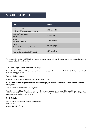### MEMBERSHIP FEES

| <b>Name</b>                                                    | Email            |
|----------------------------------------------------------------|------------------|
| MiniRoos Kick Off<br>(4 - 9 year ols Winter season - 18 weeks) | \$180 per child  |
| MiniRoos (Competition)<br>Under 8 - Under 11                   | \$380 per player |
| <b>Juniors</b><br>Under 12 - Under 18                          | \$580 per player |
| <b>Seniors FV</b><br>Women & Men (Including Under 21)          | \$450 per player |
| <b>Seniors VCFA</b><br>Victorian Churches Football Association | \$370 per player |

The membership fee for the 2022 winter season includes a soccer ball and kit (socks, shorts and jersey). Balls are to be brought to training each week.

### **Due Date 2 April 2022 - No Pay, No Play**

Payment is due by 2 April 2022 (or initial installment only via requested arrangement with the Club Treasurer - Email treasurer.wusc@gmail.com)

#### **Electronic Payments**

Payment is to be made electronically. When using Direct Deposit -

#### *it is essential that the player's surname, initials and age group are recorded in the Recipient "Transaction Description"*

... or we will not be able to trace your payment.

If unable to pay via Direct Deposit, you can pay using card on registration evenings. Otherwise it is suggested that cash is presented to your local branch of the Bendigo Bank (along with the Direct Deposit details below) for the cash to be transferred into the Club's account.

#### **Bank Details**

Account Name: Whitehorse United Soccer Club Inc BSB: 633-000 Account No: 108 667 452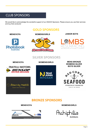### CLUB SPONSORS

We would like to acknowledge the wonderful support of our 2022/23 Sponsors. Please ensure you use their services and buy their products!

### **GOLD SPONSORS**



**MENS/VCFA WOMENS/GIRLS JUNIOR BOYS**

## रेस्सिट rand 7



### **SILVER SPONSORS**







**MENS/VCFA WOMENS/GIRLS MENS BRONZE WOMENS SILVER BOYS SILVER**



### **BRONZE SPONSORS**



**MENS/VCFA WOMENS/GIRLS**

Hichip **Architects**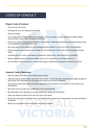## CODES OF CONDUCT

#### **Players' Code of Conduct**

- Give your best at all times;
- Participate for your own enjoyment and benefit
- Play by the Rules;
- Do not argue with the Match Official. If you disagree, have your captain or coach approach the Match Official during a break in play or after the Match is concluded;
- Control your temper. Verbal abuse of officials or other players, deliberately distracting or provoking another person is not acceptable or permitted in any sport;
- Be a good sport and be prepared to acknowledge good play whether it is from your team or the opposition;
- Treat all players as you would like to be treated. Do not interfere with, bully or take unfair advantage of another player;
- Cooperate with your coach, teammates and opponents. Without them, there would be no competition;
- Remove all jewelry prior to training and Match play, as it is a hazard to you and those around you;
- Do not accept or use any banned or unauthorised drug(s), including the consumption of alcohol at any time.

### **Coaches' Code of Behaviour**

- Place the safety and welfare of the athletes above all else;
- Help each person (athlete, official, etc) reach their potential respect the talent, developmental stage and goals of each person and compliment and encourage with positive and supportive feedback;
- Any physical contact with a person should be appropriate to the situation and necessary for their person's skill development;
- Be honest and do not allow your qualifications to be misrepresented;
- Be reasonable in your demands on younger players time, energy and enthusiasm;
- Teach your players to abide by the rules and Laws of the Game;
- Ensure that equipment and facilities meet a reasonable safety standard and is appropriate to the age and ability of the players;
- Modify your approach to suit the skill levels and needs of players.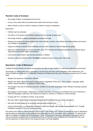### **Parents' Code of Conduct**

- Encourage children to participate and have fun;
- Focus on the child's effort and performance rather than winning or losing;
- Never ridicule or yell at a child for making a mistake or losing a competition

#### Remember:

- Children learn by example;
- Fair play is in the game's best interest; applaud and encourage all game play
- Encourage children to always participate according to the rules
- Respect and support decisions made by the match officials, coaches, club officials and administrators and instruct your children to do likewise;
- Support all efforts to remove racial vilification and any other behaviour that will degrade the game;
- Raise any issues through the correct channels: Club, FFV Tribunal and Discipline department or Victorian Equal Opportunity and Human Rights Commission;
- Limit alcohol consumption near the technical area or sideline;
- Smoking is banned outdoors within **10 meters** of sporting venues during under 18s events.

#### **Spectators' Code of Behaviour**

Football Victoria's priority is to ensure all spectators are able to enjoy football in a safe and comfortable environment.

Accordingly, by entering this venue, you agree to be bound by the terms of this Spectator Code of Behaviour; the Venue Conditions of Entry and FV's Member Protection and Misconduct By-Laws. All persons present at an FV event shall:

- Respect the decisions of the Match Officials;
- Respect the rights, dignity and worth of every person regardless of their race, colour, religion, language, ability, politics, sexual orientation, or national or ethnic origin;
- Not engage in the use of violence in any form, whether it is by other Spectators, Team Officials (including coaches) or Players;
- Not engage in discrimination, harassment or abuse in any form, including but not limited to the use of obscene or offensive language or gestures, the incitement of hatred or violence, or indecent or racist chanting;
- Comply with FV's "Conditions of Entry" at all venues;
- Not carry, light or throw flares or missiles (including on to the field of play or at other spectators);
- Not enter the field of play or its surrounds without lawful authority; and
- Conduct themselves in a manner that enhances, rather than injures, the reputation and goodwill of FV, Football Federation Australia (FFA) and football generally.

Any person who does not comply with this Code or who in the opinion of FV causes or attempts to cause a distubance may be asked to leave and may be prohibited from attending future FV run events and/or programs. FV reserves the right to investigate any breaches of this Spectator Code of Conduct and may issue penalties in accordance with its rules and policies as appropriate, including sanctions as per the Grievance, Discipline and Tribunal (GDT) By-Law, and the deduction of match points to the respective team, and finals eligibility.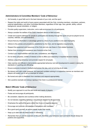### **Administrators & Committee Members' Code of Behaviour**

- Act honestly, in good faith and in the best interests of your club, and the sport.
- Respect the rights and worth of every person associated with the Club, including members, volunteers, partners, external stakeholders, and other Committee Members, regardless of their age, race, gender, ability, cultural background, sexual orientation, or religion.
- Provide quality supervision, instruction, and a safe environment for all participants.
- Always consider the welfare of the Club's members above on-field success.
- Create and support pathways for people to participate and develop through the sport not just as players but as coaches, referees, and administrators.
- Ensure that any information or advantage gained by virtue of your position is not used improperly.
- Adhere to the policies and procedures established by the Club, and its legislative requirements.
- Respect the equipment and resources of the Club and only use these in Club-related business.
- Refrain from smoking and excessive use of alcohol at the Club.
- Conduct your responsibilities with due care, competence, and diligence.
- Do not allow prejudice, conflict of interest or bias to affect your objectivity in impartial decision-making.
- Address unsporting behaviour and promote respect for all people.
- Help coaches and officials to demonstrate appropriate behaviour and skill development to assist in raising the standards of coaching and officiating.
- Ensure everyone involved in football emphasises fair play, and not winning at all costs.
- Be tolerant and calm under pressure, and approach problem solving in a supportive manner as members and players will expect you to set an example for others.
- Be honest and open to feedback from members and respond appropriately.
- Set a positive example and always represent the Club in a professional manner.

### **Match Officials' Code of Behaviour**

- Modify your approach to suit the skill levels and needs of players;
- Praise and encourage all participants;
- Be consistent, objective and courteous when making decisions;
- Do not tolerate unsporting behaviour and promote respect for all opponents;
- Emphasise the spirit of the game rather than focus on negative aspects;
- Encourage and promote rule changes to all players and members;
- Be a good sport yourself, as actions speak louder than words;
- Keep up to date with the latest trends in refereeing;
- Remember that you set the example on the park, therefore, your behaviour and comments should always be positive and supportive;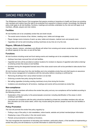### SMOKE FREE POLICY

The Whitehorse United Soccer Club recognises that passive smoking is hazardous to health and those non-smoking club members and visitors have the right to be protected from exposure to tobacco smoke. Accordingly, the following policy shall apply to all club facilities, functions, meetings and activities undertaken by the club and will apply to all members, officials, players and club visitors.

#### **Facilities**

All club facilities are to be completely smoke free and shall include:

- The social rooms inclusive of bar, kitchen, meeting room, toilets and storage area
- Player change rooms inclusive of warm up area, toilets and showers, medical room and property room.
- Cigarettes will not be sold (including vending machines) at any time at or by the club.

#### **Players, Officials & Coaches**

Coaches, players, trainers, volunteers and officials will refrain from smoking and remain smoke free while involved in an official capacity for the club, on and off the field.

#### **Functions**

All club functions including social and fund raising events and meetings are to be completely smoke free:

- Ashtrays have been removed from all club facilities.
- Cigarette butt bins will be provided at outdoor locations for smokers to dispose of cigarette butts before entering/ re-entering smoke free areas at club facilities
- Smokers leaving the designated licensed area of the clubs social rooms will not be permitted to take alcohol from that area.

All club functions held away from the club facilities are to be completely smoke free and shall require an assurance from the venue management of compliance with the club policy before a booking is confirmed by:

- Removing all ashtrays from venue where function is to be held
- Enforcing a smoke free policy during the function
- Not selling cigarettes (including vending machines) at any time during the function.
- Invitations and advertising for all functions, meetings and events will be promoted as smoke free.

#### **Non-compliance**

All club committee members will enforce the smoke free policy and any non-compliance will be handled according to the following process:

- Explanation of the club policy to the person/people concerned, including identification of the areas in which smoking is permitted
- Continued non-compliance with the policy should be handled by at least two committee members who will use their discretion as to the action taken, which may include asking the person/ people to leave the club facilities or function.

#### **Policy Promotion**

The club will promote the smoke free policy regularly by:

- Putting a copy of the policy in club newsletters, notice boards, website and printed member/player information
- Displaying a copy of the policy in the club social rooms
- Periodic announcements to members at functions.

The club recognises the importance of educating club members, particularly players, of the benefits of implementing a smoke free policy and will endeavour to provide information to assist this process.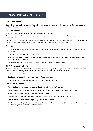### COMMUNICATION POLICY

#### **Our commitment**

Electronic communication is essential for sharing club news and information with our members. Our communication will be timely, appropriate and related to club business.

#### **What we will do**

We use a range of electronic tools to communicate with our members.

Our communication will protect members' privacy, maintain clear boundaries and ensure that bullying and harassment does not occur.

A webmaster will be appointed to provide accountability and control over material published on our club's website and any related discussion groups or social media websites, such as Facebook and Instagram.

#### **Website**

- Our website will include current information on competitions, social events, committees, policies, constitution, rules and by-laws.
- No offensive content or photos will be published.
- If we intend to publish a photo of a child, we will first seek permission from his or her parents and take care not to provide identifying information.
- We will seek feedback from members to improve the information available on the site.

#### **SMS, WhatsApp and email**

Committee members, coaches and team managers may use SMS, WhatsApp groups or email to provide information about competition, training, club-sanctioned social events and other club business, however:

- SMS messages should be short and about club/team matters
- Email communication will be used when more information is required
- Communication involving children will be directed through their parents.

#### **Social Media website**

- We treat all social media postings, blogs and status updates as public 'comment'.
- Postings (written, photos or videos) will be family-friendly and feature positive club news and events.
- No personal information about our members will be disclosed
- No statements will be made that are misleading, false or likely to injure a person's reputation.
- No statements will be made that might bring our club into disrepute.
- Abusive, discriminatory, intimidating or offensive statements will not be tolerated. Offending posts will be removed and those responsible will be blocked from the site.